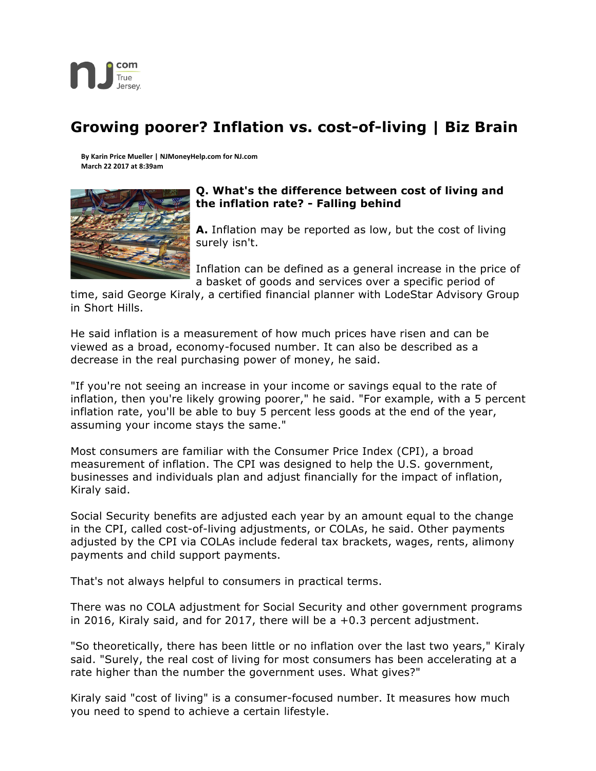

## **Growing poorer? Inflation vs. cost-of-living | Biz Brain**

**By Karin Price Mueller | NJMoneyHelp.com for NJ.com March 22 2017 at 8:39am**



## **Q. What's the difference between cost of living and the inflation rate? - Falling behind**

**A.** Inflation may be reported as low, but the cost of living surely isn't.

Inflation can be defined as a general increase in the price of a basket of goods and services over a specific period of

time, said George Kiraly, a certified financial planner with LodeStar Advisory Group in Short Hills.

He said inflation is a measurement of how much prices have risen and can be viewed as a broad, economy-focused number. It can also be described as a decrease in the real purchasing power of money, he said.

"If you're not seeing an increase in your income or savings equal to the rate of inflation, then you're likely growing poorer," he said. "For example, with a 5 percent inflation rate, you'll be able to buy 5 percent less goods at the end of the year, assuming your income stays the same."

Most consumers are familiar with the Consumer Price Index (CPI), a broad measurement of inflation. The CPI was designed to help the U.S. government, businesses and individuals plan and adjust financially for the impact of inflation, Kiraly said.

Social Security benefits are adjusted each year by an amount equal to the change in the CPI, called cost-of-living adjustments, or COLAs, he said. Other payments adjusted by the CPI via COLAs include federal tax brackets, wages, rents, alimony payments and child support payments.

That's not always helpful to consumers in practical terms.

There was no COLA adjustment for Social Security and other government programs in 2016, Kiraly said, and for 2017, there will be a +0.3 percent adjustment.

"So theoretically, there has been little or no inflation over the last two years," Kiraly said. "Surely, the real cost of living for most consumers has been accelerating at a rate higher than the number the government uses. What gives?"

Kiraly said "cost of living" is a consumer-focused number. It measures how much you need to spend to achieve a certain lifestyle.